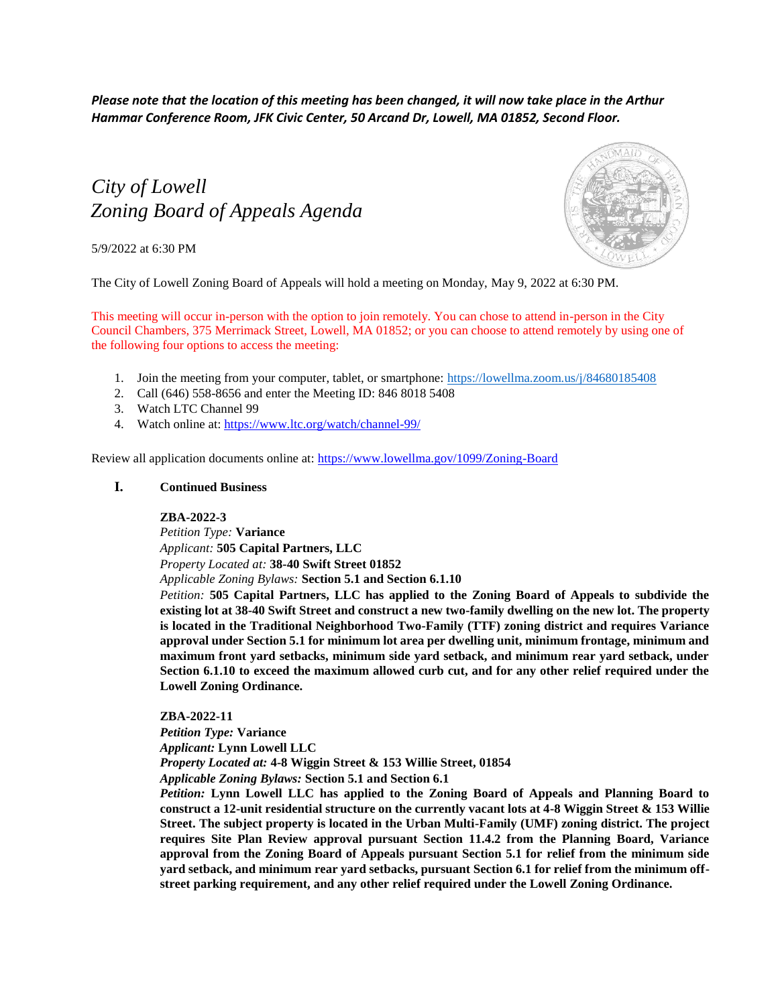*Please note that the location of this meeting has been changed, it will now take place in the Arthur Hammar Conference Room, JFK Civic Center, 50 Arcand Dr, Lowell, MA 01852, Second Floor.*

# *City of Lowell Zoning Board of Appeals Agenda*

5/9/2022 at 6:30 PM



The City of Lowell Zoning Board of Appeals will hold a meeting on Monday, May 9, 2022 at 6:30 PM.

This meeting will occur in-person with the option to join remotely. You can chose to attend in-person in the City Council Chambers, 375 Merrimack Street, Lowell, MA 01852; or you can choose to attend remotely by using one of the following four options to access the meeting:

- 1. Join the meeting from your computer, tablet, or smartphone:<https://lowellma.zoom.us/j/84680185408>
- 2. Call (646) 558-8656 and enter the Meeting ID: 846 8018 5408
- 3. Watch LTC Channel 99
- 4. Watch online at:<https://www.ltc.org/watch/channel-99/>

Review all application documents online at: <https://www.lowellma.gov/1099/Zoning-Board>

## **I. Continued Business**

### **ZBA-2022-3**

*Petition Type:* **Variance** *Applicant:* **505 Capital Partners, LLC** *Property Located at:* **38-40 Swift Street 01852** *Applicable Zoning Bylaws:* **Section 5.1 and Section 6.1.10**

*Petition:* **505 Capital Partners, LLC has applied to the Zoning Board of Appeals to subdivide the existing lot at 38-40 Swift Street and construct a new two-family dwelling on the new lot. The property is located in the Traditional Neighborhood Two-Family (TTF) zoning district and requires Variance approval under Section 5.1 for minimum lot area per dwelling unit, minimum frontage, minimum and maximum front yard setbacks, minimum side yard setback, and minimum rear yard setback, under Section 6.1.10 to exceed the maximum allowed curb cut, and for any other relief required under the Lowell Zoning Ordinance.**

**ZBA-2022-11**

*Petition Type:* **Variance**

*Applicant:* **Lynn Lowell LLC**

*Property Located at:* **4-8 Wiggin Street & 153 Willie Street, 01854**

*Applicable Zoning Bylaws:* **Section 5.1 and Section 6.1**

*Petition:* **Lynn Lowell LLC has applied to the Zoning Board of Appeals and Planning Board to construct a 12-unit residential structure on the currently vacant lots at 4-8 Wiggin Street & 153 Willie Street. The subject property is located in the Urban Multi-Family (UMF) zoning district. The project requires Site Plan Review approval pursuant Section 11.4.2 from the Planning Board, Variance approval from the Zoning Board of Appeals pursuant Section 5.1 for relief from the minimum side yard setback, and minimum rear yard setbacks, pursuant Section 6.1 for relief from the minimum offstreet parking requirement, and any other relief required under the Lowell Zoning Ordinance.**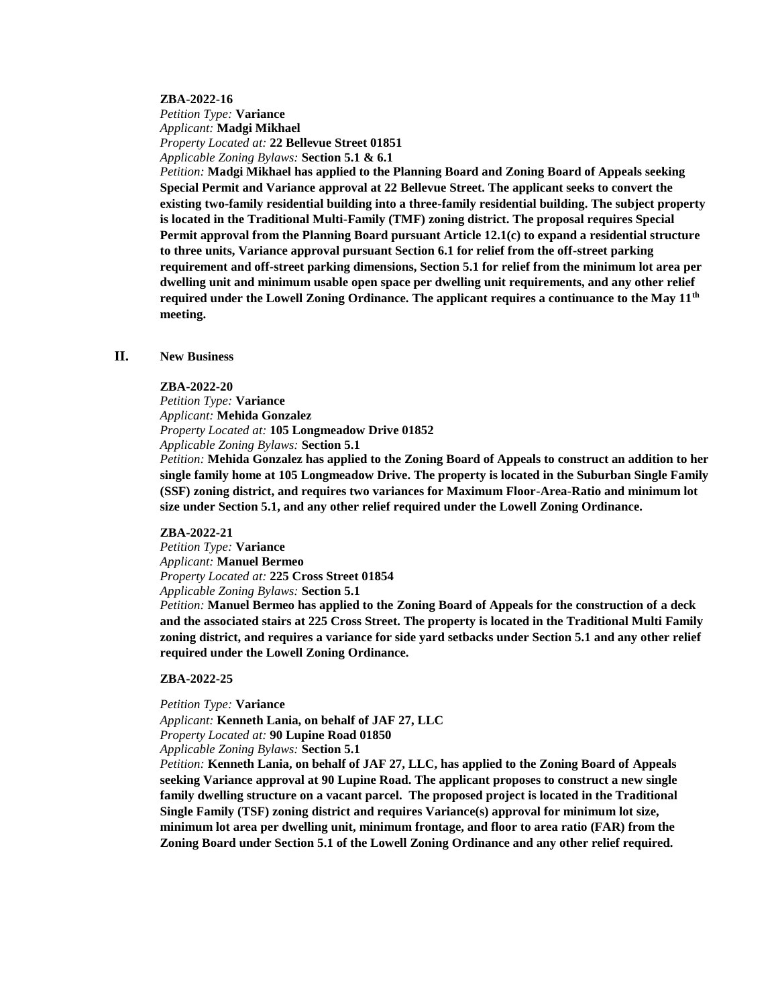#### **ZBA-2022-16**

*Petition Type:* **Variance** *Applicant:* **Madgi Mikhael** *Property Located at:* **22 Bellevue Street 01851** *Applicable Zoning Bylaws:* **Section 5.1 & 6.1**

*Petition:* **Madgi Mikhael has applied to the Planning Board and Zoning Board of Appeals seeking Special Permit and Variance approval at 22 Bellevue Street. The applicant seeks to convert the existing two-family residential building into a three-family residential building. The subject property is located in the Traditional Multi-Family (TMF) zoning district. The proposal requires Special Permit approval from the Planning Board pursuant Article 12.1(c) to expand a residential structure to three units, Variance approval pursuant Section 6.1 for relief from the off-street parking requirement and off-street parking dimensions, Section 5.1 for relief from the minimum lot area per dwelling unit and minimum usable open space per dwelling unit requirements, and any other relief required under the Lowell Zoning Ordinance. The applicant requires a continuance to the May 11th meeting.**

## **II. New Business**

#### **ZBA-2022-20**

*Petition Type:* **Variance** *Applicant:* **Mehida Gonzalez** *Property Located at:* **105 Longmeadow Drive 01852** *Applicable Zoning Bylaws:* **Section 5.1** 

*Petition:* **Mehida Gonzalez has applied to the Zoning Board of Appeals to construct an addition to her single family home at 105 Longmeadow Drive. The property is located in the Suburban Single Family (SSF) zoning district, and requires two variances for Maximum Floor-Area-Ratio and minimum lot size under Section 5.1, and any other relief required under the Lowell Zoning Ordinance.**

#### **ZBA-2022-21**

*Petition Type:* **Variance** *Applicant:* **Manuel Bermeo** *Property Located at:* **225 Cross Street 01854** *Applicable Zoning Bylaws:* **Section 5.1**

*Petition:* **Manuel Bermeo has applied to the Zoning Board of Appeals for the construction of a deck and the associated stairs at 225 Cross Street. The property is located in the Traditional Multi Family zoning district, and requires a variance for side yard setbacks under Section 5.1 and any other relief required under the Lowell Zoning Ordinance.**

#### **ZBA-2022-25**

*Petition Type:* **Variance**

*Applicant:* **Kenneth Lania, on behalf of JAF 27, LLC** *Property Located at:* **90 Lupine Road 01850** *Applicable Zoning Bylaws:* **Section 5.1** 

*Petition:* **Kenneth Lania, on behalf of JAF 27, LLC, has applied to the Zoning Board of Appeals seeking Variance approval at 90 Lupine Road. The applicant proposes to construct a new single family dwelling structure on a vacant parcel. The proposed project is located in the Traditional Single Family (TSF) zoning district and requires Variance(s) approval for minimum lot size, minimum lot area per dwelling unit, minimum frontage, and floor to area ratio (FAR) from the Zoning Board under Section 5.1 of the Lowell Zoning Ordinance and any other relief required.**